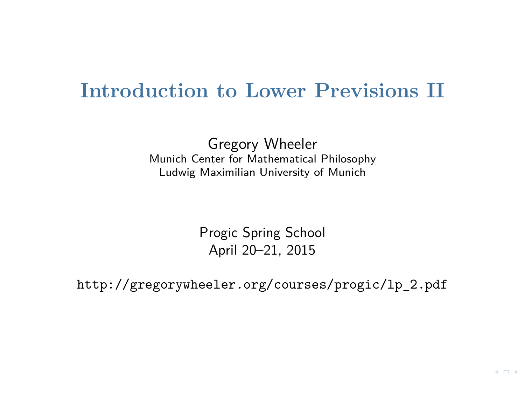#### **Introduction to Lower Previsions II**

Gregory Wheeler Munich Center for Mathematical Philosophy Ludwig Maximilian University of Munich

> Progic Spring School April 20–21, 2015

[http://gregorywheeler.org/courses/progic/lp\\_2.pdf](http://gregorywheeler.org/courses/progic/lp_2.pdf)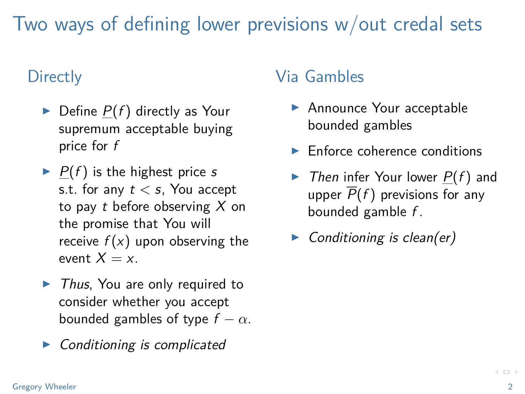Two ways of defining lower previsions w/out credal sets

#### **Directly**

- $\blacktriangleright$  Define  $P(f)$  directly as Your supremum acceptable buying price for f
- $\blacktriangleright$  P(f) is the highest price s s.t. for any t *<* s, You accept to pay  $t$  before observing  $X$  on the promise that You will receive  $f(x)$  upon observing the event  $X = x$ .
- $\blacktriangleright$  Thus, You are only required to consider whether you accept bounded gambles of type  $f - \alpha$ .
- $\triangleright$  Conditioning is complicated

#### Via Gambles

- ▶ Announce Your acceptable bounded gambles
- $\blacktriangleright$  Enforce coherence conditions
- $\triangleright$  Then infer Your lower  $P(f)$  and upper  $\overline{P}(f)$  previsions for any bounded gamble f .
- $\triangleright$  Conditioning is clean(er)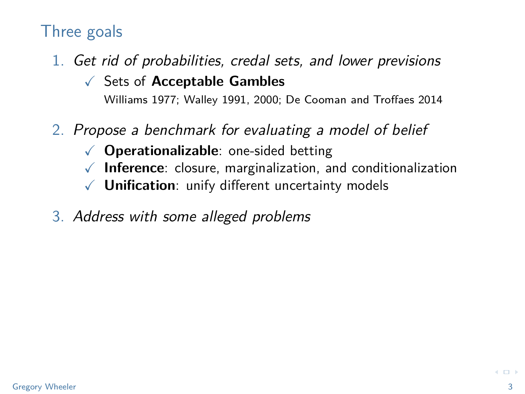#### Three goals

1. Get rid of probabilities, credal sets, and lower previsions X Sets of **Acceptable Gambles**

Williams 1977; Walley 1991, 2000; De Cooman and Troffaes 2014

- 2. Propose a benchmark for evaluating a model of belief
	- X **Operationalizable**: one-sided betting
	- X **Inference**: closure, marginalization, and conditionalization
	- X **Unification**: unify different uncertainty models
- 3. Address with some alleged problems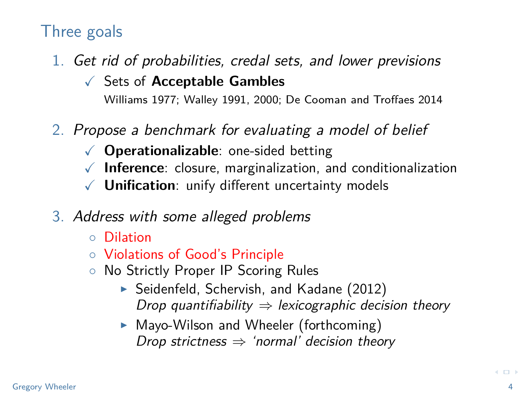#### Three goals

- 1. Get rid of probabilities, credal sets, and lower previsions
	- X Sets of **Acceptable Gambles** Williams 1977; Walley 1991, 2000; De Cooman and Troffaes 2014
- 2. Propose a benchmark for evaluating a model of belief
	- X **Operationalizable**: one-sided betting
	- $\sqrt{\phantom{a}}$  **Inference**: closure, marginalization, and conditionalization
	- X **Unification**: unify different uncertainty models
- 3. Address with some alleged problems
	- Dilation
	- Violations of Good's Principle
	- No Strictly Proper IP Scoring Rules
		- ▶ Seidenfeld, Schervish, and Kadane (2012) Drop quantifiability  $\Rightarrow$  lexicographic decision theory
		- $\triangleright$  Mayo-Wilson and Wheeler (forthcoming) Drop strictness  $\Rightarrow$  'normal' decision theory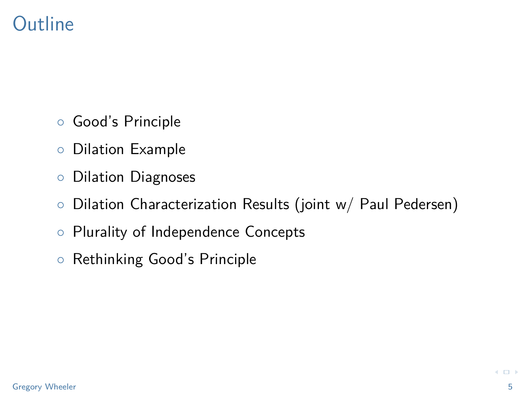# **Outline**

- Good's Principle
- Dilation Example
- Dilation Diagnoses
- Dilation Characterization Results (joint w/ Paul Pedersen)
- Plurality of Independence Concepts
- Rethinking Good's Principle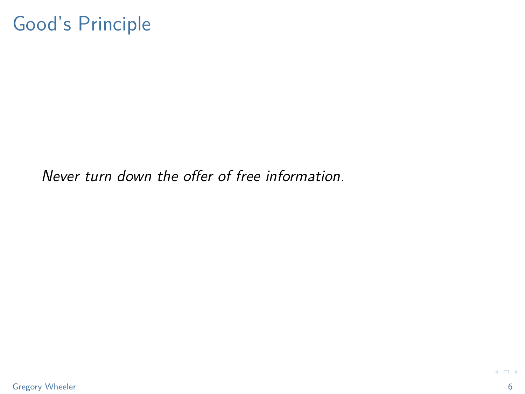# Good's Principle

Never turn down the offer of free information.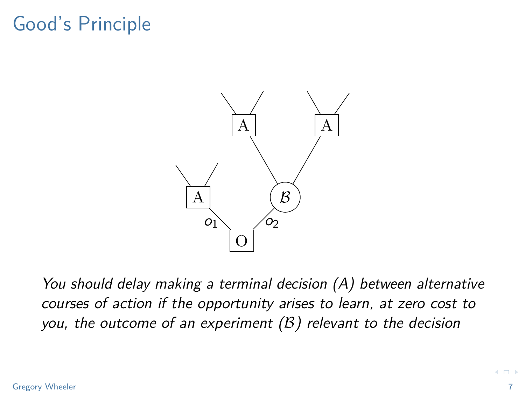# Good's Principle



You should delay making a terminal decision (A) between alternative courses of action if the opportunity arises to learn, at zero cost to you, the outcome of an experiment  $(B)$  relevant to the decision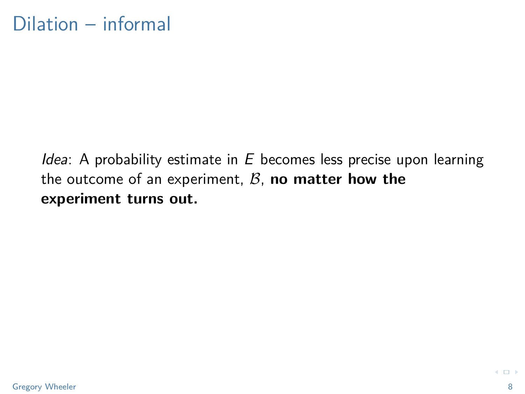#### *Idea*: A probability estimate in  $E$  becomes less precise upon learning the outcome of an experiment,  $\mathcal{B}$ , **no matter how the experiment turns out.**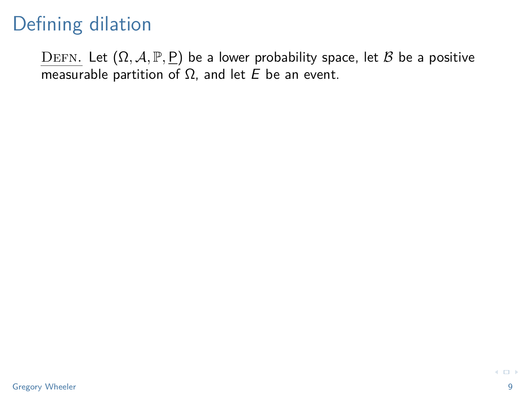DEFN. Let  $(\Omega, \mathcal{A}, \mathbb{P}, \underline{P})$  be a lower probability space, let B be a positive measurable partition of  $Ω$ , and let  $E$  be an event.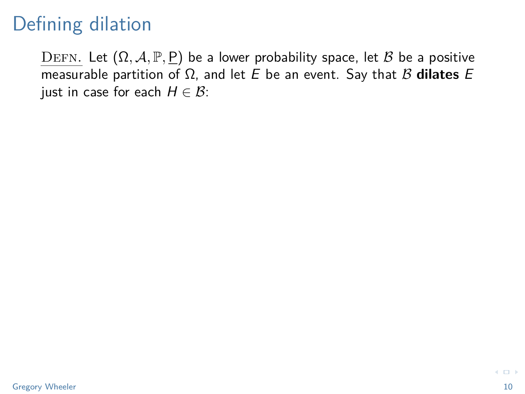DEFN. Let  $(Ω, A, ℤ, ℡)$  be a lower probability space, let *B* be a positive measurable partition of  $Ω$ , and let  $E$  be an event. Say that  $B$  dilates  $E$ just in case for each  $H \in \mathcal{B}$ :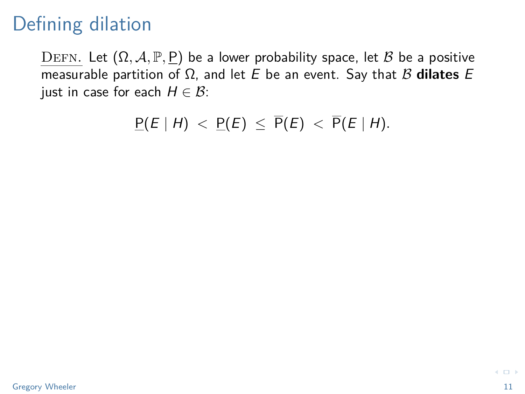DEFN. Let  $(Ω, A, P, P)$  be a lower probability space, let *B* be a positive measurable partition of  $Ω$ , and let  $E$  be an event. Say that  $B$  **dilates**  $E$ just in case for each  $H \in \mathcal{B}$ :

 $P(E | H) < P(E) \leq \overline{P}(E) < \overline{P}(E | H)$ .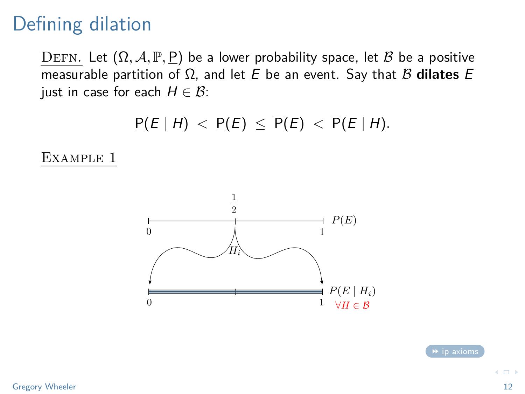DEFN. Let  $(Ω, A, P, P)$  be a lower probability space, let *B* be a positive measurable partition of  $Ω$ , and let  $E$  be an event. Say that  $B$  dilates  $E$ just in case for each  $H \in \mathcal{B}$ :

 $P(E | H) < P(E) \leq \overline{P}(E) < \overline{P}(E | H)$ .

Example 1



 $\leftarrow$   $\Box$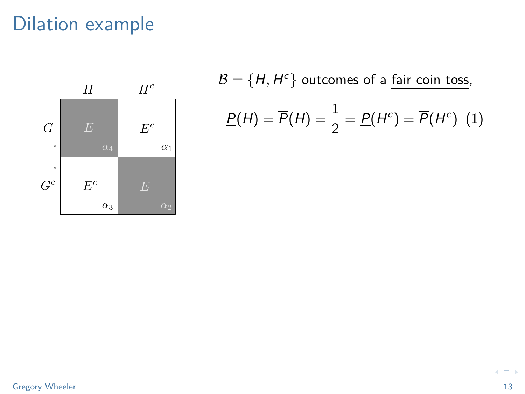<span id="page-12-1"></span>

<span id="page-12-0"></span>
$$
\mathcal{B} = \{H, H^c\} \text{ outcomes of a } \frac{\text{fair coin toss}}{2}
$$
\n
$$
\underline{P}(H) = \overline{P}(H) = \frac{1}{2} = \underline{P}(H^c) = \overline{P}(H^c) \tag{1}
$$

 $\left\langle \cdot \right\rangle$  . In ( )-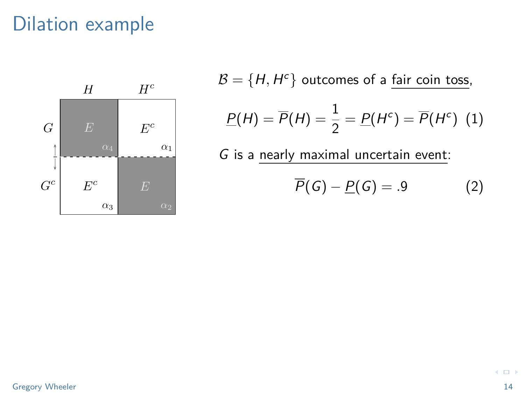

 $\mathcal{B} = \{H,H^c\}$  outcomes of a fair coin toss,  $\underline{P}(H) = \overline{P}(H) = \frac{1}{2} = \underline{P}(H^c) = \overline{P}(H^c)$  (1)

G is a nearly maximal uncertain event:

$$
\overline{P}(G) - \underline{P}(G) = .9 \tag{2}
$$

 $\leftarrow$   $\Box$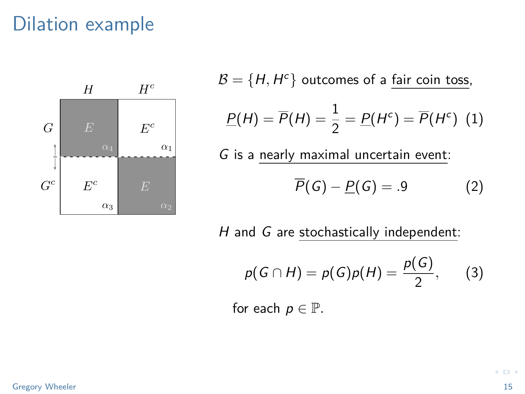

 $\mathcal{B} = \{H,H^c\}$  outcomes of a fair coin toss,  $\underline{P}(H) = \overline{P}(H) = \frac{1}{2} = \underline{P}(H^c) = \overline{P}(H^c)$  (1) G is a nearly maximal uncertain event:  $\overline{P}(G) - P(G) = .9$  (2)

 $H$  and  $G$  are stochastically independent:

$$
p(G \cap H) = p(G)p(H) = \frac{p(G)}{2}, \qquad (3)
$$

for each  $p \in \mathbb{P}$ .

 $\leftarrow$   $\Box$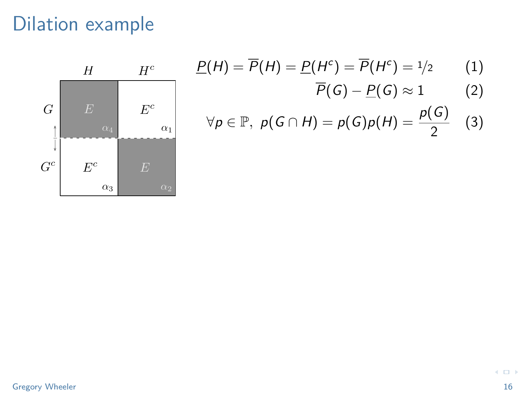

$$
\underline{P}(H) = \overline{P}(H) = \underline{P}(H^c) = \overline{P}(H^c) = \frac{1}{2} \tag{1}
$$

$$
\overline{P}(G)-\underline{P}(G)\approx 1\qquad \qquad (2)
$$

$$
\forall p \in \mathbb{P}, \ p(G \cap H) = p(G)p(H) = \frac{p(G)}{2} \quad (3)
$$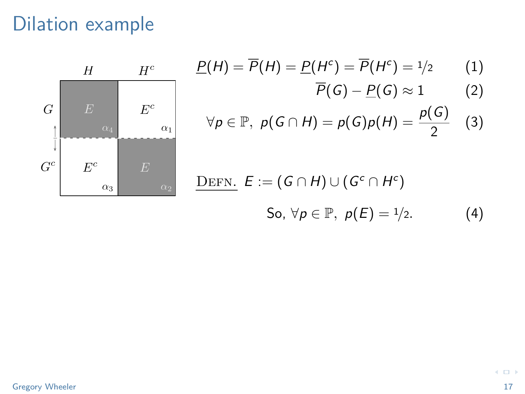

$$
\underline{P}(H) = \overline{P}(H) = \underline{P}(H^c) = \overline{P}(H^c) = \frac{1}{2} \tag{1}
$$

$$
\overline{P}(G)-\underline{P}(G)\approx 1\qquad \quad \ (2)
$$

$$
\forall p \in \mathbb{P}, \ p(G \cap H) = p(G)p(H) = \frac{p(G)}{2} \quad (3)
$$

DEFN. 
$$
E := (G \cap H) \cup (G^c \cap H^c)
$$
  
So,  $\forall p \in \mathbb{P}, p(E) = 1/2.$  (4)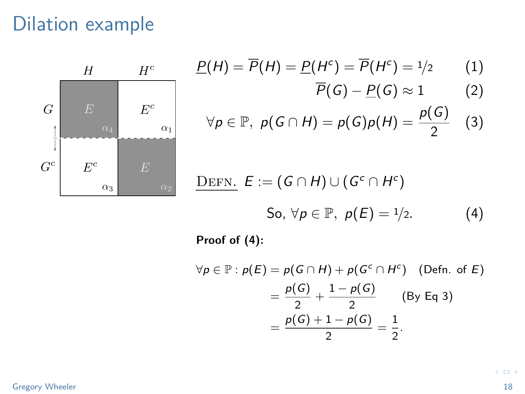

$$
\underline{P}(H) = \overline{P}(H) = \underline{P}(H^c) = \overline{P}(H^c) = \frac{1}{2} \tag{1}
$$

$$
\overline{P}(G)-\underline{P}(G)\approx 1\qquad \quad \ (2)
$$

$$
\forall p \in \mathbb{P}, \ p(G \cap H) = p(G)p(H) = \frac{p(G)}{2} \quad (3)
$$

DEFN. 
$$
E := (G \cap H) \cup (G^c \cap H^c)
$$
  
So,  $\forall p \in \mathbb{P}, p(E) = 1/2.$  (4)

**Proof of (4):**

$$
\forall p \in \mathbb{P} : p(E) = p(G \cap H) + p(G^{c} \cap H^{c}) \quad \text{(Defn. of } E)
$$
\n
$$
= \frac{p(G)}{2} + \frac{1 - p(G)}{2} \quad \text{(By Eq 3)}
$$
\n
$$
= \frac{p(G) + 1 - p(G)}{2} = \frac{1}{2}.
$$

 $\left\langle \cdot \right\rangle$  . In ( )-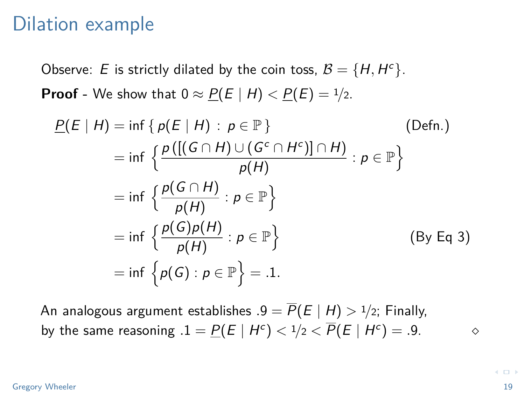Observe: E is strictly dilated by the coin toss,  $B = \{H, H^c\}.$ **Proof** - We show that  $0 \approx P(E | H) < P(E) = 1/2$ .

$$
\underline{P}(E | H) = \inf \{ p(E | H) : p \in \mathbb{P} \}
$$
\n
$$
= \inf \left\{ \frac{p\left( [(G \cap H) \cup (G^c \cap H^c)] \cap H \right)}{p(H)} : p \in \mathbb{P} \right\}
$$
\n
$$
= \inf \left\{ \frac{p(G \cap H)}{p(H)} : p \in \mathbb{P} \right\}
$$
\n
$$
= \inf \left\{ \frac{p(G)p(H)}{p(H)} : p \in \mathbb{P} \right\}
$$
\n
$$
= \inf \left\{ p(G) : p \in \mathbb{P} \right\} = .1.
$$
\n(By Eq 3)

An analogous argument establishes  $.9 = \overline{P}(E \mid H) > 1/2$ ; Finally, by the same reasoning  $.1 = \underline{P}(E \mid H^c) < 1/2 < \overline{P}(E \mid H^c) = .9.$ 

#### Gregory Wheeler 2008 and 2008 and 2008 and 2008 and 2008 and 2008 and 2008 and 2008 and 2008 and 2008 and 2008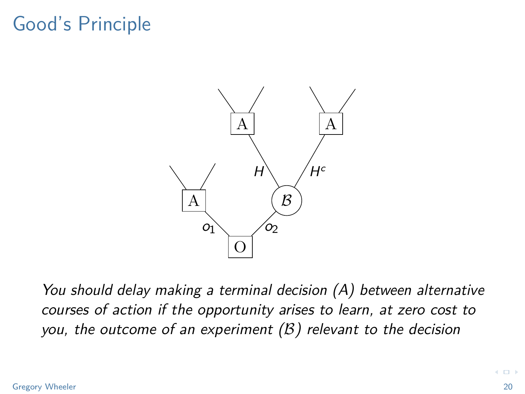# Good's Principle



You should delay making a terminal decision (A) between alternative courses of action if the opportunity arises to learn, at zero cost to you, the outcome of an experiment  $(B)$  relevant to the decision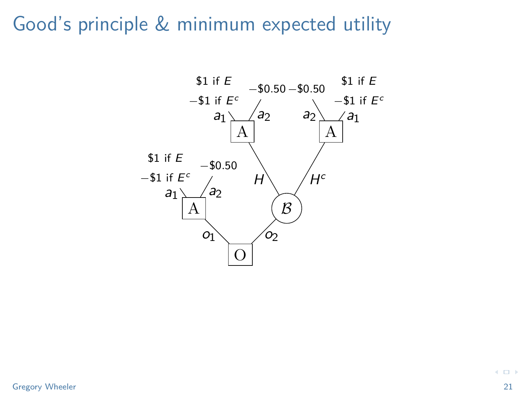#### Good's principle & minimum expected utility



 $\left\langle \cdot \right\rangle$  .  $\left\langle \cdot \right\rangle$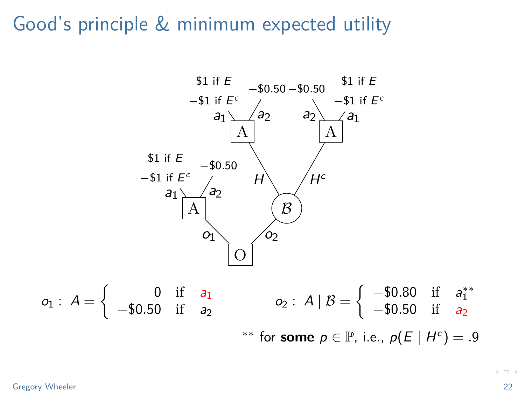#### Good's principle & minimum expected utility



 $\leftarrow$   $\Box$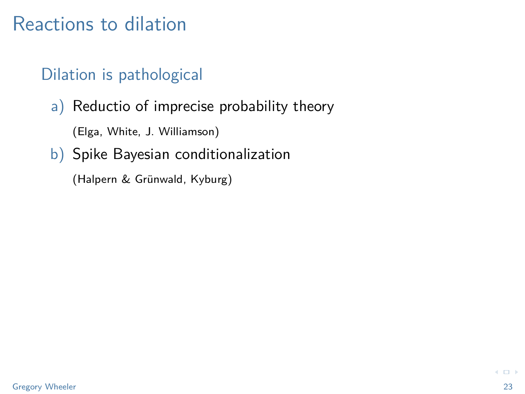#### Reactions to dilation

#### Dilation is pathological

a) Reductio of imprecise probability theory

(Elga, White, J. Williamson)

b) Spike Bayesian conditionalization

(Halpern & Grünwald, Kyburg)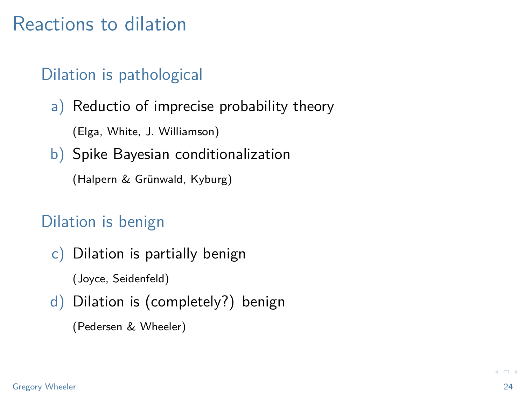#### Reactions to dilation

#### Dilation is pathological

a) Reductio of imprecise probability theory

(Elga, White, J. Williamson)

b) Spike Bayesian conditionalization

(Halpern & Grünwald, Kyburg)

#### Dilation is benign

c) Dilation is partially benign

(Joyce, Seidenfeld)

d) Dilation is (completely?) benign

(Pedersen & Wheeler)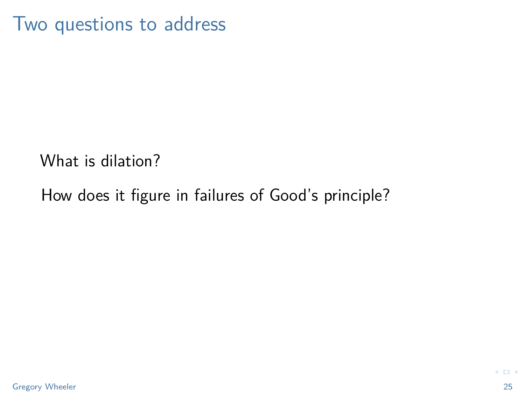Two questions to address

What is dilation?

How does it figure in failures of Good's principle?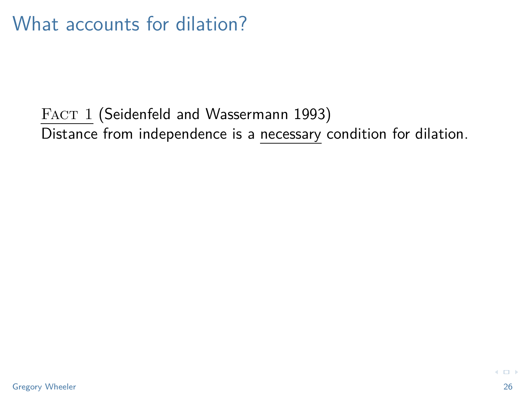FACT 1 (Seidenfeld and Wassermann 1993) Distance from independence is a necessary condition for dilation.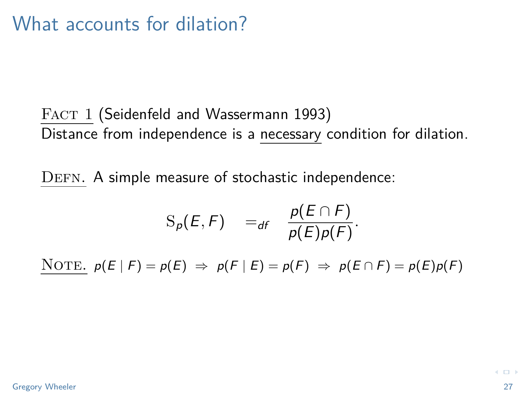#### FACT 1 (Seidenfeld and Wassermann 1993) Distance from independence is a necessary condition for dilation.

DEFN. A simple measure of stochastic independence:

$$
S_p(E, F) =_{df} \frac{p(E \cap F)}{p(E)p(F)}.
$$

NOTE.  $p(E \mid F) = p(E) \Rightarrow p(F \mid E) = p(F) \Rightarrow p(E \cap F) = p(E)p(F)$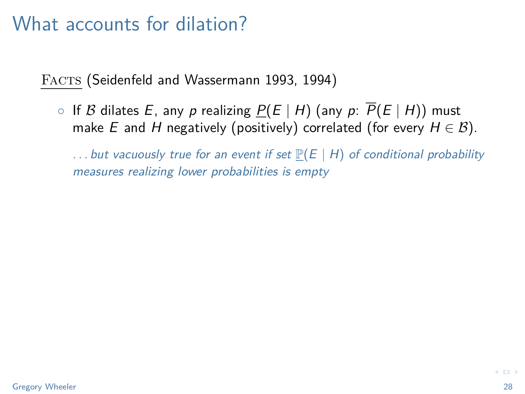FACTS (Seidenfeld and Wassermann 1993, 1994)

○ If B dilates E, any p realizing  $P(E | H)$  (any p:  $\overline{P}(E | H)$ ) must make E and H negatively (positively) correlated (for every  $H \in \mathcal{B}$ ).

... but vacuously true for an event if set  $P(E | H)$  of conditional probability measures realizing lower probabilities is empty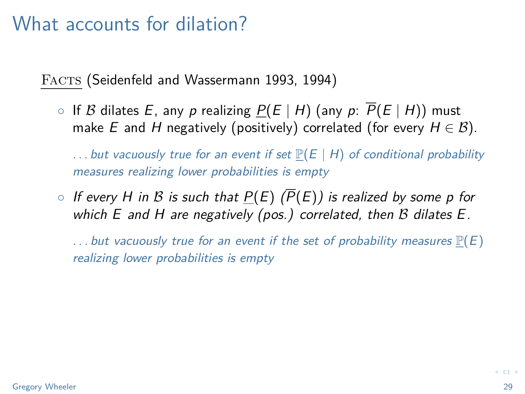FACTS (Seidenfeld and Wassermann 1993, 1994)

○ If B dilates E, any p realizing  $P(E | H)$  (any p:  $\overline{P}(E | H)$ ) must make E and H negatively (positively) correlated (for every  $H \in \mathcal{B}$ ).

... but vacuously true for an event if set  $\mathbb{P}(E \mid H)$  of conditional probability measures realizing lower probabilities is empty

 $\circ$  If every H in B is such that  $P(E)$  ( $\overline{P}(E)$ ) is realized by some p for which  $E$  and  $H$  are negatively (pos.) correlated, then  $B$  dilates  $E$ .

... but vacuously true for an event if the set of probability measures  $\mathbb{P}(E)$ realizing lower probabilities is empty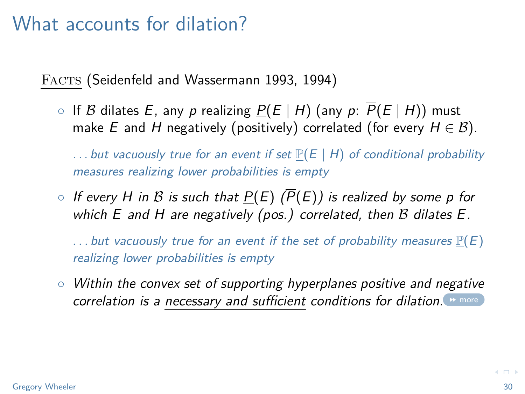FACTS (Seidenfeld and Wassermann 1993, 1994)

○ If B dilates E, any p realizing  $P(E | H)$  (any p:  $\overline{P}(E | H)$ ) must make E and H negatively (positively) correlated (for every  $H \in \mathcal{B}$ ).

... but vacuously true for an event if set  $\mathbb{P}(E \mid H)$  of conditional probability measures realizing lower probabilities is empty

 $\circ$  If every H in B is such that  $P(E)$  ( $\overline{P}(E)$ ) is realized by some p for which  $E$  and  $H$  are negatively (pos.) correlated, then  $B$  dilates  $E$ .

... but vacuously true for an event if the set of probability measures  $\mathbb{P}(E)$ realizing lower probabilities is empty

◦ Within the convex set of supporting hyperplanes positive and negative correlation is a necessary and sufficient conditions for dilation. **Medition**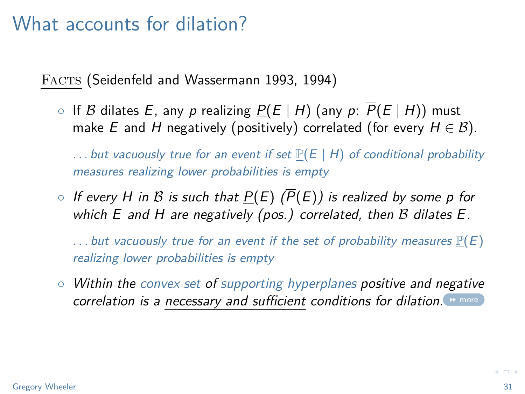FACTS (Seidenfeld and Wassermann 1993, 1994)

○ If B dilates E, any p realizing  $P(E | H)$  (any p:  $\overline{P}(E | H)$ ) must make E and H negatively (positively) correlated (for every  $H \in \mathcal{B}$ ).

... but vacuously true for an event if set  $\mathbb{P}(E \mid H)$  of conditional probability measures realizing lower probabilities is empty

 $\circ$  If every H in B is such that  $P(E)$  ( $\overline{P}(E)$ ) is realized by some p for which  $E$  and  $H$  are negatively (pos.) correlated, then  $B$  dilates  $E$ .

... but vacuously true for an event if the set of probability measures  $\mathbb{P}(E)$ realizing lower probabilities is empty

◦ Within the convex set of supporting hyperplanes positive and negative correlation is a necessary and sufficient conditions for dilation. **M** [more](#page-68-0)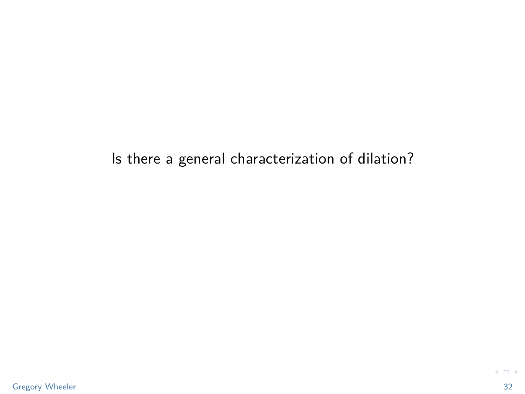#### Is there a general characterization of dilation?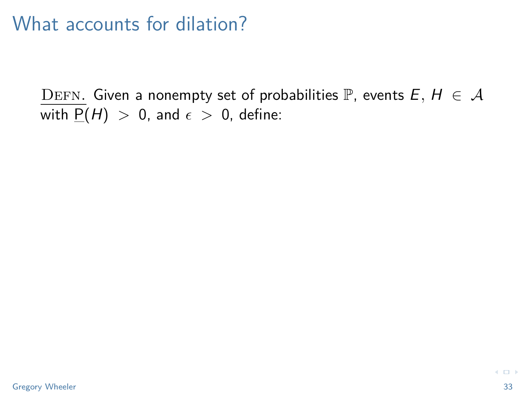<span id="page-32-0"></span>DEFN. Given a nonempty set of probabilities P, events  $E, H \in \mathcal{A}$ with  $P(H) > 0$ , and  $\epsilon > 0$ , define: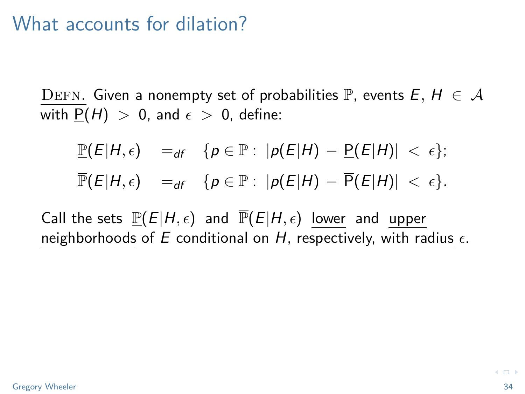DEFN. Given a nonempty set of probabilities P, events  $E, H \in \mathcal{A}$ with  $P(H) > 0$ , and  $\epsilon > 0$ , define:

$$
\mathbb{P}(E|H,\epsilon) =_{df} \{p \in \mathbb{P}: |p(E|H) - \mathbb{P}(E|H)| < \epsilon\};
$$
  

$$
\mathbb{P}(E|H,\epsilon) =_{df} \{p \in \mathbb{P}: |p(E|H) - \overline{P}(E|H)| < \epsilon\}.
$$

Call the sets  $\mathbb{P}(E|H,\epsilon)$  and  $\overline{\mathbb{P}}(E|H,\epsilon)$  lower and upper neighborhoods of E conditional on H, respectively, with radius  $\epsilon$ .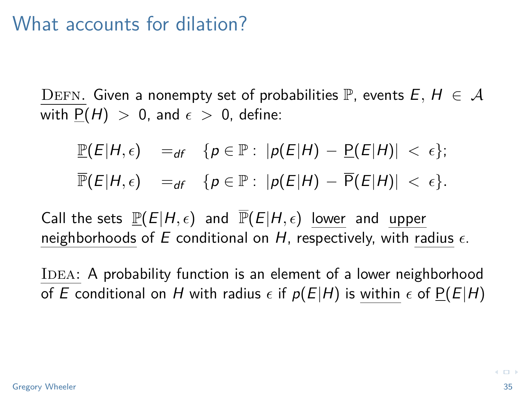DEFN. Given a nonempty set of probabilities P, events  $E, H \in \mathcal{A}$ with  $P(H) > 0$ , and  $\epsilon > 0$ , define:

$$
\mathbb{P}(E|H,\epsilon) =_{df} \{p \in \mathbb{P}: |p(E|H) - \mathbb{P}(E|H)| < \epsilon\};
$$
  

$$
\mathbb{P}(E|H,\epsilon) =_{df} \{p \in \mathbb{P}: |p(E|H) - \overline{P}(E|H)| < \epsilon\}.
$$

Call the sets  $\mathbb{P}(E|H,\epsilon)$  and  $\overline{\mathbb{P}}(E|H,\epsilon)$  lower and upper neighborhoods of E conditional on H, respectively, with radius  $\epsilon$ .

IDEA: A probability function is an element of a lower neighborhood of E conditional on H with radius  $\epsilon$  if  $p(E|H)$  is within  $\epsilon$  of  $P(E|H)$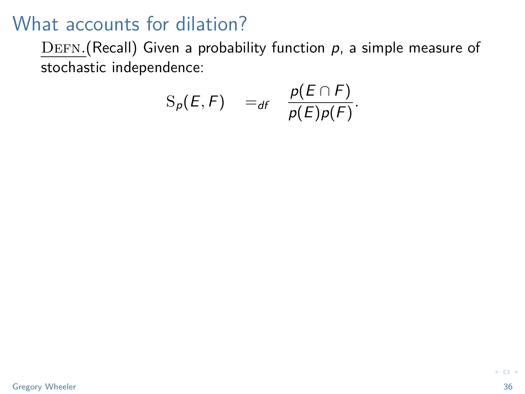$DEFN.(Recall)$  Given a probability function  $p$ , a simple measure of stochastic independence:

$$
S_p(E, F) =_{df} \frac{p(E \cap F)}{p(E)p(F)}.
$$

 $\leftarrow$   $\Box$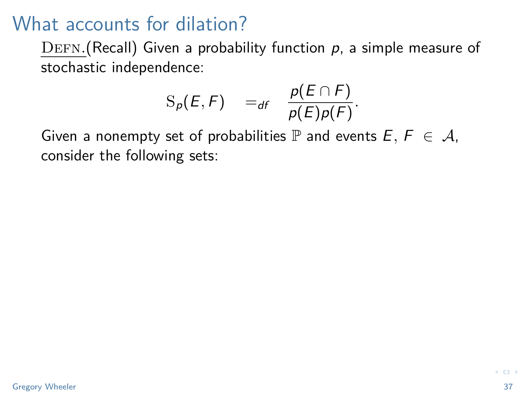$DEFN.$ (Recall) Given a probability function  $p$ , a simple measure of stochastic independence:

$$
S_p(E, F) =_{df} \frac{p(E \cap F)}{p(E)p(F)}.
$$

Given a nonempty set of probabilities  $\mathbb P$  and events  $E, F \in \mathcal A$ , consider the following sets: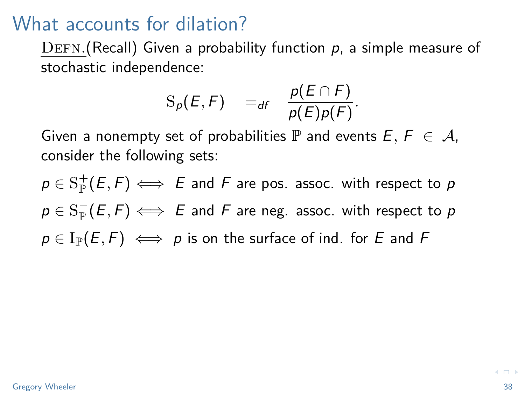$DEFN.(Recall)$  Given a probability function  $p$ , a simple measure of stochastic independence:

$$
S_p(E, F) =_{df} \frac{p(E \cap F)}{p(E)p(F)}.
$$

Given a nonempty set of probabilities  $\mathbb P$  and events  $E, F \in \mathcal A$ , consider the following sets:

 $p\in\mathop{\mathrm {S}^+_{\mathbb P}}(E,F)\Longleftrightarrow\ E$  and  $F$  are pos. assoc. with respect to  $p$  $p\in\mathrm{S}^-_\mathbb{P}(E,F)\Longleftrightarrow|E|$  and  $F$  are neg. assoc. with respect to  $p$  $p \in I_{\mathbb{P}}(E, F) \iff p$  is on the surface of ind. for E and F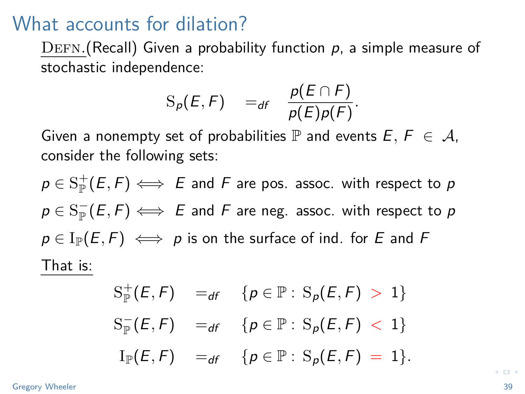$DEFN.(Recall)$  Given a probability function  $p$ , a simple measure of stochastic independence:

$$
S_p(E, F) =_{df} \frac{p(E \cap F)}{p(E)p(F)}.
$$

Given a nonempty set of probabilities  $\mathbb P$  and events  $E, F \in \mathcal A$ , consider the following sets:

 $p\in\mathop{\mathrm {S}^+_{\mathbb P}}(E,F)\Longleftrightarrow\ E$  and  $F$  are pos. assoc. with respect to  $p$  $p\in\mathrm{S}^-_\mathbb{P}(E,F)\Longleftrightarrow|E|$  and  $F$  are neg. assoc. with respect to  $p$  $p \in I_{\mathbb{P}}(E, F) \iff p$  is on the surface of ind. for E and F That is:

$$
S_{\mathbb{P}}^{+}(E, F) =_{df} \{p \in \mathbb{P} : S_{p}(E, F) > 1\}
$$
  
\n
$$
S_{\mathbb{P}}^{-}(E, F) =_{df} \{p \in \mathbb{P} : S_{p}(E, F) < 1\}
$$
  
\n
$$
I_{\mathbb{P}}(E, F) =_{df} \{p \in \mathbb{P} : S_{p}(E, F) = 1\}.
$$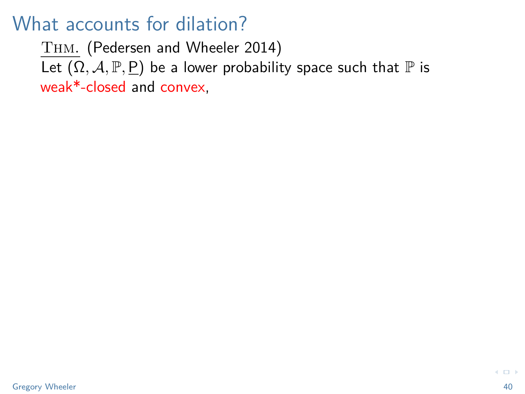<span id="page-39-0"></span>Thm. (Pedersen and Wheeler 2014) Let  $(\Omega, \mathcal{A}, \mathbb{P}, \underline{P})$  be a lower probability space such that  $\mathbb P$  is weak\*-closed and convex,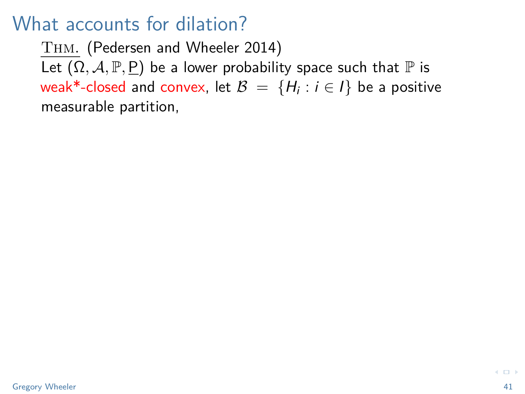Thm. (Pedersen and Wheeler 2014) Let  $(\Omega, \mathcal{A}, \mathbb{P}, \underline{P})$  be a lower probability space such that  $\mathbb P$  is weak\*-closed and convex, let  $\mathcal{B} \ = \ \{ H_i : i \in I \}$  be a positive measurable partition,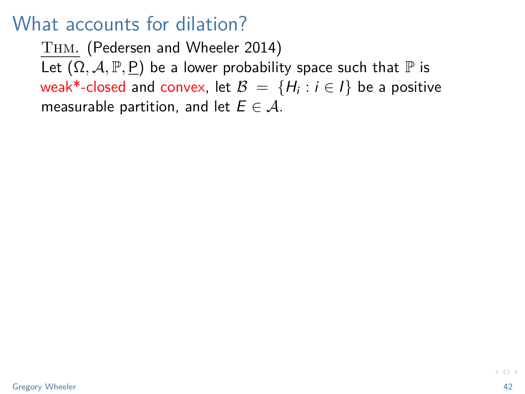Thm. (Pedersen and Wheeler 2014) Let  $(\Omega, \mathcal{A}, \mathbb{P}, \underline{P})$  be a lower probability space such that  $\mathbb P$  is weak\*-closed and convex, let  $\mathcal{B} \ = \ \{ H_i : i \in I \}$  be a positive measurable partition, and let  $E \in \mathcal{A}$ .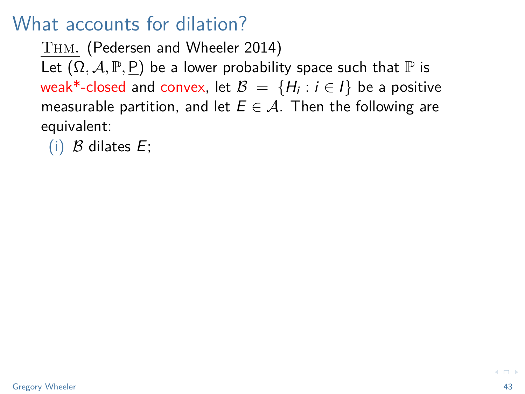Thm. (Pedersen and Wheeler 2014) Let  $(\Omega, \mathcal{A}, \mathbb{P}, P)$  be a lower probability space such that  $\mathbb P$  is weak\*-closed and convex, let  $\mathcal{B} \ = \ \{ H_i : i \in I \}$  be a positive measurable partition, and let  $E \in \mathcal{A}$ . Then the following are equivalent:

(i)  $\beta$  dilates  $E$ ;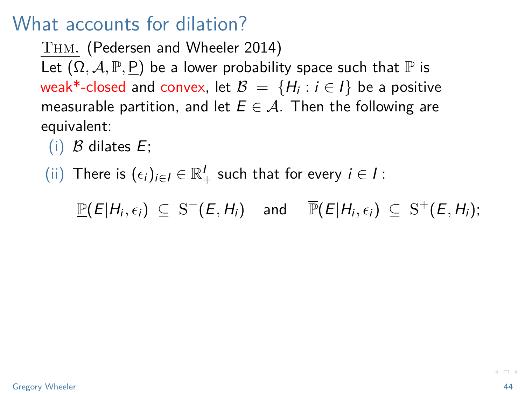Thm. (Pedersen and Wheeler 2014) Let  $(\Omega, \mathcal{A}, \mathbb{P}, P)$  be a lower probability space such that  $\mathbb P$  is weak\*-closed and convex, let  $\mathcal{B} \ = \ \{ H_i : i \in I \}$  be a positive measurable partition, and let  $E \in \mathcal{A}$ . Then the following are equivalent:

- (i)  $\beta$  dilates  $E$ ;
- (ii) There is  $(\epsilon_i)_{i\in I}\in \mathbb{R}_+^I$  such that for every  $i\in I$ :

 $\underline{\mathbb{P}}(E|H_i,\epsilon_i) \subseteq \mathcal{S}^-(E,H_i)$  and  $\overline{\mathbb{P}}(E|H_i,\epsilon_i) \subseteq \mathcal{S}^+(E,H_i);$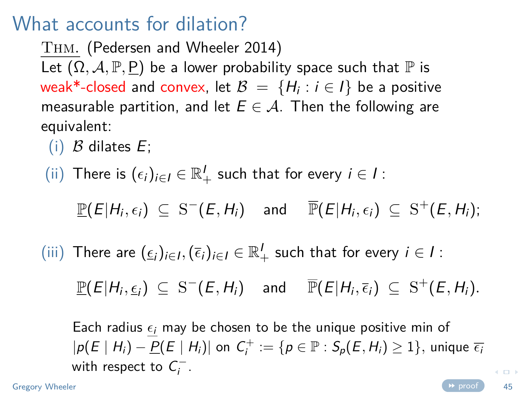Thm. (Pedersen and Wheeler 2014) Let  $(\Omega, \mathcal{A}, \mathbb{P}, P)$  be a lower probability space such that  $\mathbb P$  is weak\*-closed and convex, let  $\mathcal{B} \ = \ \{ H_i : i \in I \}$  be a positive measurable partition, and let  $E \in \mathcal{A}$ . Then the following are equivalent:

- (i)  $\beta$  dilates  $E$ ;
- (ii) There is  $(\epsilon_i)_{i\in I}\in \mathbb{R}_+^I$  such that for every  $i\in I$ :

 $\underline{\mathbb{P}}(E|H_i,\epsilon_i) \subseteq \mathcal{S}^-(E,H_i)$  and  $\overline{\mathbb{P}}(E|H_i,\epsilon_i) \subseteq \mathcal{S}^+(E,H_i);$ 

(iii) There are  $(\underline{\epsilon}_i)_{i\in I}, (\overline{\epsilon}_i)_{i\in I} \in \mathbb{R}_+^I$  such that for every  $i \in I$ :

 $\mathbb{P}(E|H_i,\underline{\epsilon}_i) \subseteq S^-(E,H_i)$  and  $\overline{\mathbb{P}}(E|H_i,\overline{\epsilon}_i) \subseteq S^+(E,H_i)$ .

Each radius  $\epsilon_i$  may be chosen to be the unique positive min of  $|p(E \mid H_i) - \underline{P}(E \mid H_i)|$  on  $C_i^+ := \{p \in \mathbb{P} : S_p(E, H_i) \geq 1\}$ , unique  $\overline{\epsilon}_i$ with respect to  $C_i^-$ .

 $\leftarrow$   $\Box$ 

Gregory Wheeler **Contract Contract Contract Contract Contract Contract Contract Contract Contract Contract Contract Contract Contract Contract Contract Contract Contract Contract Contract Contract Contract Contract Contrac**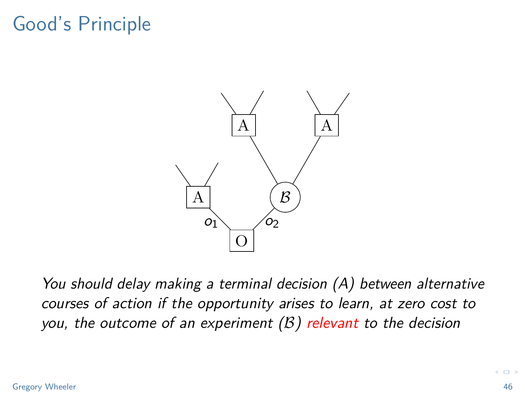# Good's Principle



You should delay making a terminal decision (A) between alternative courses of action if the opportunity arises to learn, at zero cost to you, the outcome of an experiment  $(B)$  relevant to the decision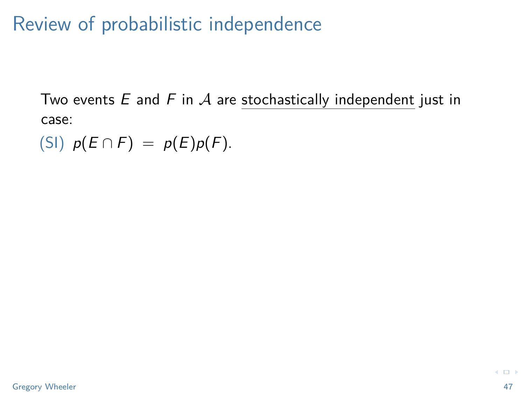Review of probabilistic independence

Two events  $E$  and  $F$  in  $A$  are stochastically independent just in case:

(SI)  $p(E \cap F) = p(E)p(F)$ .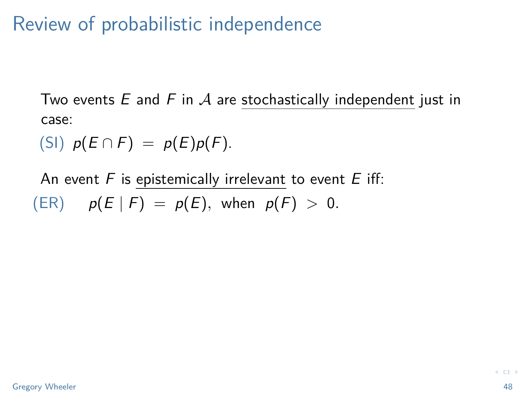# Review of probabilistic independence

Two events  $E$  and  $F$  in  $A$  are stochastically independent just in case:

(SI)  $p(E \cap F) = p(E)p(F)$ .

An event  $F$  is epistemically irrelevant to event  $E$  iff:  $p(E | F) = p(E)$ , when  $p(F) > 0$ .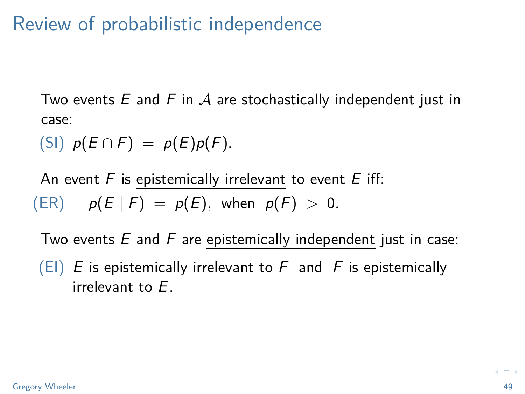# Review of probabilistic independence

Two events  $E$  and  $F$  in  $A$  are stochastically independent just in case:

(SI)  $p(E \cap F) = p(E)p(F)$ .

An event  $F$  is epistemically irrelevant to event  $E$  iff:  $p(E | F) = p(E)$ , when  $p(F) > 0$ .

Two events  $E$  and  $F$  are epistemically independent just in case:

 $(EI)$  E is epistemically irrelevant to F and F is epistemically irrelevant to E.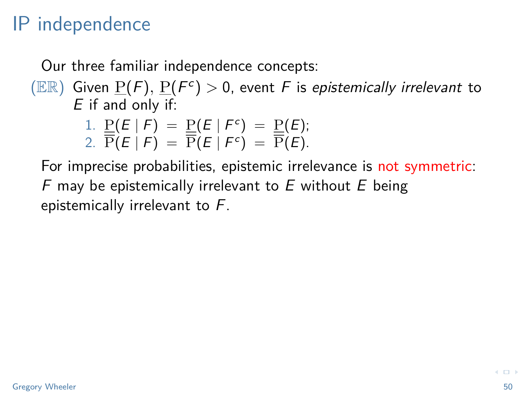### IP independence

Our three familiar independence concepts:

 $(\mathbb{ER})$  Given  $\underline{P}(F)$ ,  $\underline{P}(F^c) > 0$ , event F is epistemically irrelevant to  $E$  if and only if:

1. 
$$
\underline{P}(E | F) = \underline{P}(E | F^c) = \underline{P}(E);
$$
  
2.  $\overline{P}(E | F) = \overline{P}(E | F^c) = \overline{P}(E).$ 

For imprecise probabilities, epistemic irrelevance is not symmetric: F may be epistemically irrelevant to  $E$  without  $E$  being epistemically irrelevant to F.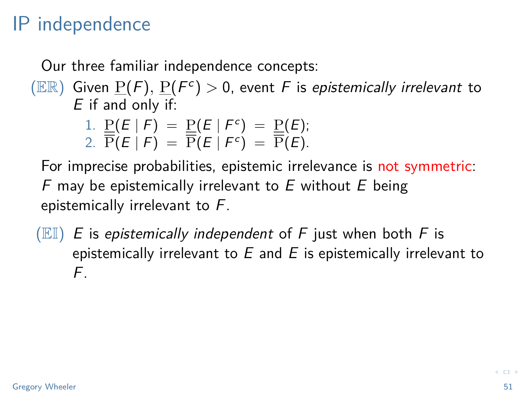# IP independence

Our three familiar independence concepts:

 $(\mathbb{ER})$  Given  $\underline{P}(F)$ ,  $\underline{P}(F^c) > 0$ , event F is epistemically irrelevant to  $E$  if and only if:

1. 
$$
\underline{P}(E | F) = \underline{P}(E | F^c) = \underline{P}(E);
$$
  
2.  $\overline{P}(E | F) = \overline{P}(E | F^c) = \overline{P}(E).$ 

For imprecise probabilities, epistemic irrelevance is not symmetric: F may be epistemically irrelevant to  $E$  without  $E$  being epistemically irrelevant to F.

 $(EL)$  E is epistemically independent of F just when both F is epistemically irrelevant to  $E$  and  $E$  is epistemically irrelevant to F.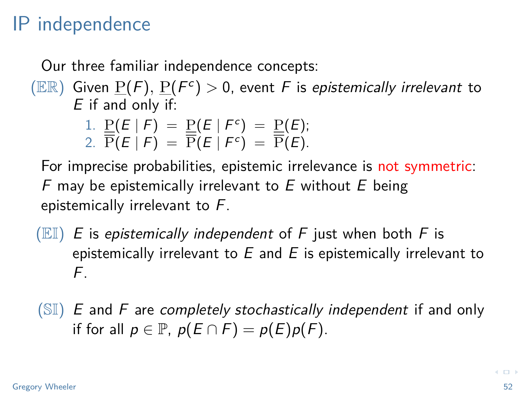### IP independence

Our three familiar independence concepts:

 $(\mathbb{ER})$  Given  $\underline{P}(F)$ ,  $\underline{P}(F^c) > 0$ , event F is epistemically irrelevant to  $E$  if and only if:

1. 
$$
\underline{P}(E | F) = \underline{P}(E | F^c) = \underline{P}(E)
$$
;  
2.  $\overline{P}(E | F) = \overline{P}(E | F^c) = \overline{P}(E)$ .

For imprecise probabilities, epistemic irrelevance is not symmetric: F may be epistemically irrelevant to  $E$  without  $E$  being epistemically irrelevant to F.

 $(EL)$  E is epistemically independent of F just when both F is epistemically irrelevant to  $E$  and  $E$  is epistemically irrelevant to F.

 $(SI)$  E and F are completely stochastically independent if and only if for all  $p \in \mathbb{P}$ ,  $p(E \cap F) = p(E)p(F)$ .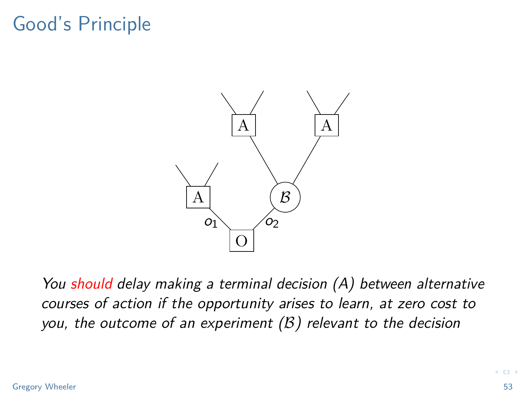# Good's Principle



You should delay making a terminal decision (A) between alternative courses of action if the opportunity arises to learn, at zero cost to you, the outcome of an experiment  $(B)$  relevant to the decision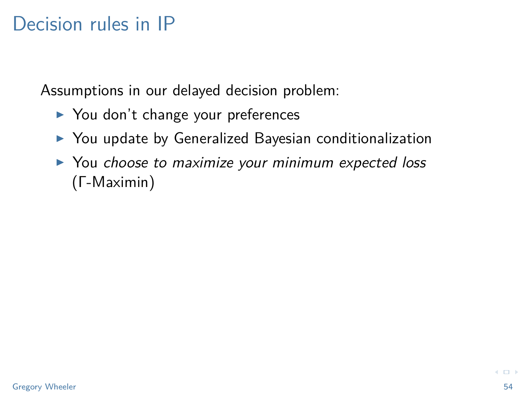Assumptions in our delayed decision problem:

- $\triangleright$  You don't change your preferences
- $\triangleright$  You update by Generalized Bayesian conditionalization
- $\triangleright$  You choose to maximize your minimum expected loss (Γ-Maximin)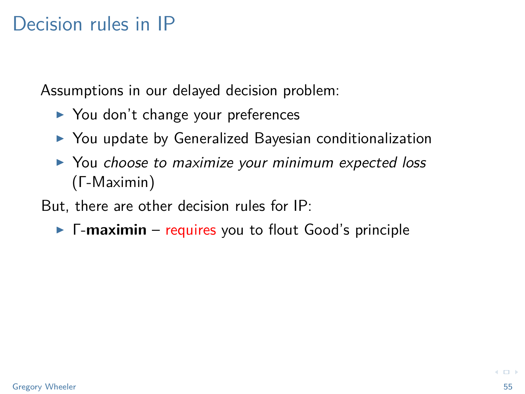Assumptions in our delayed decision problem:

- $\triangleright$  You don't change your preferences
- $\triangleright$  You update by Generalized Bayesian conditionalization
- ▶ You choose to maximize your minimum expected loss (Γ-Maximin)

But, there are other decision rules for IP:

**F** Γ-maximin – requires you to flout Good's principle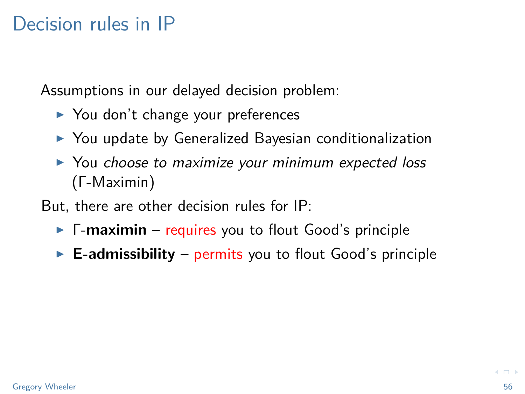Assumptions in our delayed decision problem:

- $\triangleright$  You don't change your preferences
- $\triangleright$  You update by Generalized Bayesian conditionalization
- ▶ You choose to maximize your minimum expected loss (Γ-Maximin)

But, there are other decision rules for IP:

- **F** Γ-maximin requires you to flout Good's principle
- $\blacktriangleright$  **E-admissibility** permits you to flout Good's principle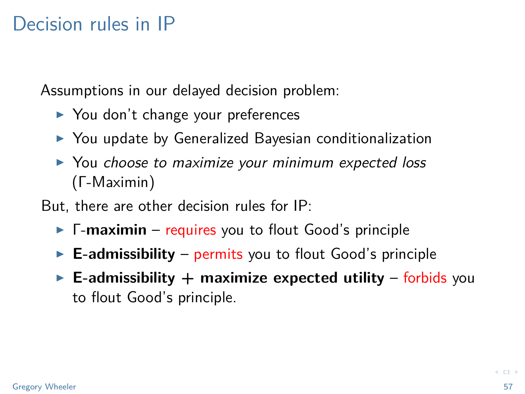Assumptions in our delayed decision problem:

- $\triangleright$  You don't change your preferences
- $\triangleright$  You update by Generalized Bayesian conditionalization
- $\triangleright$  You choose to maximize your minimum expected loss (Γ-Maximin)

But, there are other decision rules for IP:

- **F-maximin** requires you to flout Good's principle
- $\blacktriangleright$  **E-admissibility** permits you to flout Good's principle
- $\blacktriangleright$  **E-admissibility**  $+$  maximize expected utility forbids you to flout Good's principle.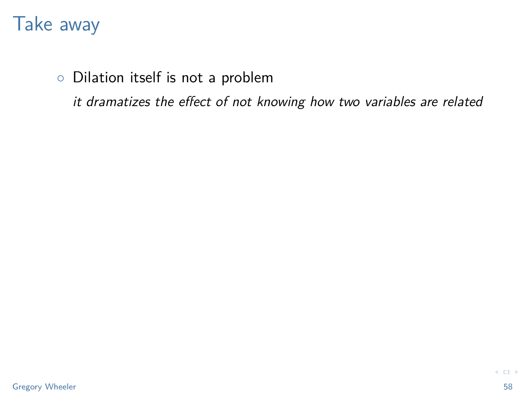◦ Dilation itself is not a problem

it dramatizes the effect of not knowing how two variables are related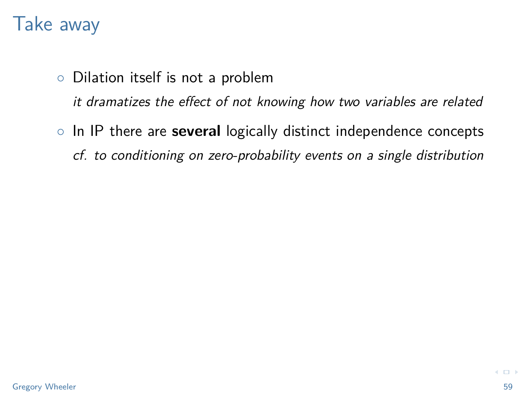- Dilation itself is not a problem it dramatizes the effect of not knowing how two variables are related
- In IP there are **several** logically distinct independence concepts cf. to conditioning on zero-probability events on a single distribution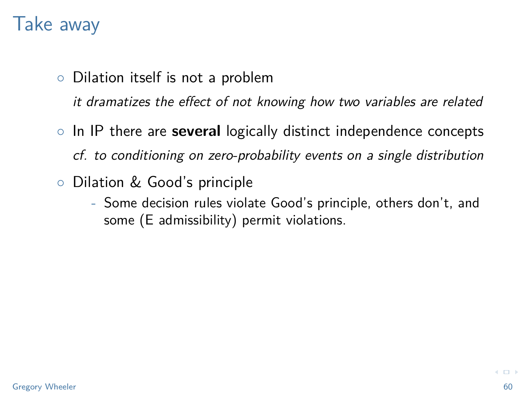- Dilation itself is not a problem it dramatizes the effect of not knowing how two variables are related
- In IP there are **several** logically distinct independence concepts cf. to conditioning on zero-probability events on a single distribution
- Dilation & Good's principle
	- Some decision rules violate Good's principle, others don't, and some (E admissibility) permit violations.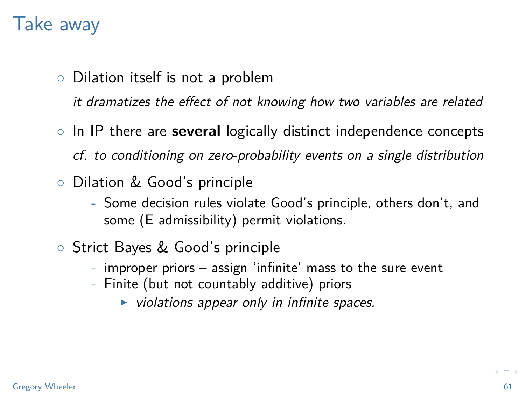- Dilation itself is not a problem it dramatizes the effect of not knowing how two variables are related
- In IP there are **several** logically distinct independence concepts cf. to conditioning on zero-probability events on a single distribution
- Dilation & Good's principle
	- Some decision rules violate Good's principle, others don't, and some (E admissibility) permit violations.
- Strict Bayes & Good's principle
	- improper priors assign 'infinite' mass to the sure event
	- Finite (but not countably additive) priors
		- $\triangleright$  violations appear only in infinite spaces.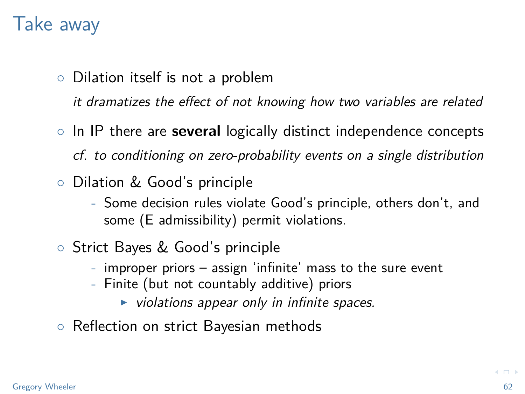- Dilation itself is not a problem it dramatizes the effect of not knowing how two variables are related
- In IP there are **several** logically distinct independence concepts cf. to conditioning on zero-probability events on a single distribution
- Dilation & Good's principle
	- Some decision rules violate Good's principle, others don't, and some (E admissibility) permit violations.
- Strict Bayes & Good's principle
	- improper priors assign 'infinite' mass to the sure event
	- Finite (but not countably additive) priors
		- $\triangleright$  violations appear only in infinite spaces.
- Reflection on strict Bayesian methods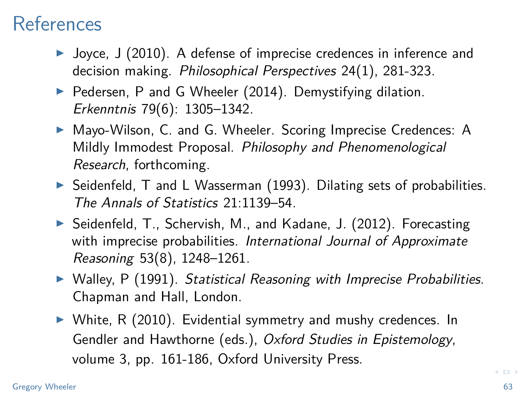#### References

- $\blacktriangleright$  Joyce, J (2010). A defense of imprecise credences in inference and decision making. Philosophical Perspectives 24(1), 281-323.
- $\triangleright$  Pedersen, P and G Wheeler (2014). Demystifying dilation. Erkenntnis 79(6): 1305–1342.
- ▶ Mayo-Wilson, C. and G. Wheeler. Scoring Imprecise Credences: A Mildly Immodest Proposal. Philosophy and Phenomenological Research, forthcoming.
- $\triangleright$  Seidenfeld, T and L Wasserman (1993). Dilating sets of probabilities. The Annals of Statistics 21:1139–54.
- ▶ Seidenfeld, T., Schervish, M., and Kadane, J. (2012). Forecasting with imprecise probabilities. International Journal of Approximate Reasoning 53(8), 1248–1261.
- $\triangleright$  Walley, P (1991). Statistical Reasoning with Imprecise Probabilities. Chapman and Hall, London.
- $\triangleright$  White, R (2010). Evidential symmetry and mushy credences. In Gendler and Hawthorne (eds.), Oxford Studies in Epistemology, volume 3, pp. 161-186, Oxford University Press.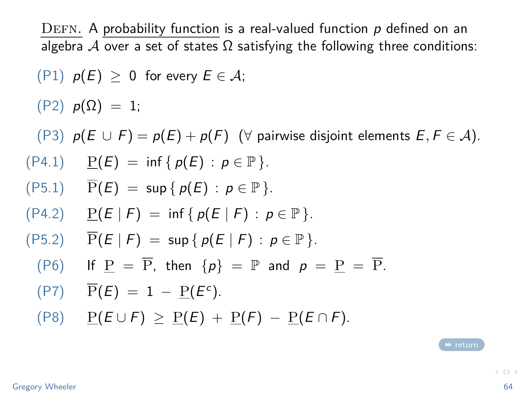<span id="page-63-0"></span>DEFN. A probability function is a real-valued function  $p$  defined on an algebra A over a set of states  $\Omega$  satisfying the following three conditions:

 $(P1)$   $p(E) > 0$  for every  $E \in \mathcal{A}$ ;

 $(P2)$   $p(\Omega) = 1$ ;

(P3)  $p(E \cup F) = p(E) + p(F)$  ( $\forall$  pairwise disjoint elements  $E, F \in \mathcal{A}$ ).

- $(P4.1)$   $P(E) = inf \{ p(E) : p \in \mathbb{P} \}.$
- $(P5.1)$   $\overline{P}(E) = \sup \{ p(E) : p \in \mathbb{P} \}.$
- $(P4.2)$   $P(E | F) = inf \{ p(E | F) : p \in \mathbb{P} \}.$
- $(P5.2)$   $\overline{P}(E | F) = \sup \{ p(E | F) : p \in \mathbb{P} \}.$ 
	- (P6) If  $P = \overline{P}$ , then  $\{p\} = \mathbb{P}$  and  $p = P = \overline{P}$ .

$$
(\text{P7}) \quad \overline{\text{P}}(E) = 1 - \underline{\text{P}}(E^c).
$$

 $(P8)$   $P(E \cup F) > P(E) + P(F) - P(E \cap F)$ .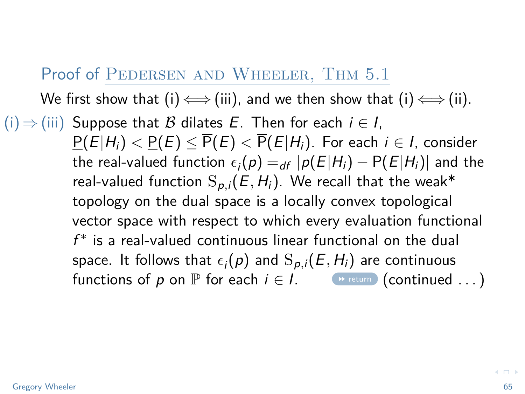#### <span id="page-64-0"></span>Proof of PEDERSEN AND WHEELER, THM 5.1

We first show that (i)  $\Longleftrightarrow$  (iii), and we then show that (i)  $\Longleftrightarrow$  (ii).  $(i) \Rightarrow (iii)$  Suppose that B dilates E. Then for each  $i \in I$ ,  $P(E|H_i) < P(E) < \overline{P}(E) < \overline{P}(E|H_i)$ . For each  $i \in I$ , consider the real-valued function  $\underline{\epsilon_i}(p) =_{df} |p(E|H_i) - \underline{P}(E|H_i)|$  and the real-valued function  $S_{p,i}(E, H_i)$ . We recall that the weak\* topology on the dual space is a locally convex topological vector space with respect to which every evaluation functional  $f^*$  is a real-valued continuous linear functional on the dual space. It follows that  $\epsilon_i(\rho)$  and  $\mathrm{S}_{\rho,i}(E,H_i)$  are continuous functions of p on  $\mathbb P$  for each  $i \in I$ .  $\bullet$  [return](#page-39-0) (continued ...)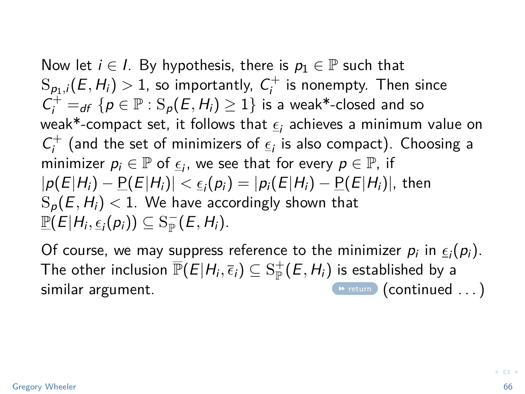Now let  $i \in I$ . By hypothesis, there is  $p_1 \in \mathbb{P}$  such that  $\mathrm{S}_{\rho_1,i}(E,H_i)>1,$  so importantly,  $\,mathcal{C}^+_i$  is nonempty. Then since  $C_i^+ =_{df} \{p \in \mathbb{P} : \mathrm{S}_p(E, H_i) \geq 1\}$  is a weak\*-closed and so weak\*-compact set, it follows that  $\epsilon_i$  achieves a minimum value on  $C_i^+$  (and the set of minimizers of  $\underline{\epsilon}_i$  is also compact). Choosing a minimizer  $p_i \in \mathbb{P}$  of  $\underline{\epsilon}_i$ , we see that for every  $p \in \mathbb{P}$ , if  $|p(E|H_i) - \underline{P}(E|H_i)| < \underline{\epsilon_i}(p_i) = |p_i(E|H_i) - \underline{P}(E|H_i)|$ , then  $S_p(E, H_i)$  < 1. We have accordingly shown that  $\underline{\mathbb{P}}(\overline{E}|H_i,\underline{\epsilon}_i(p_i))\subseteq \operatorname{S}_{\mathbb{P}}^-(E,H_i).$ 

Of course, we may suppress reference to the minimizer  $p_i$  in  $\underline{\epsilon}_i(p_i)$ . The other inclusion  $\overline{\mathbb{P}}(E|H_i,\overline{\epsilon}_i)\subseteq \mathrm{S}_{\mathbb{P}}^+(E,H_i)$  is established by a similar argument.  $\bullet$  [return](#page-39-0) (continued ...)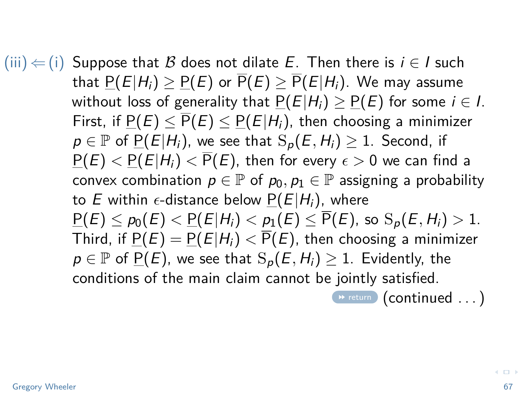$(iii) \leftarrow (i)$  Suppose that B does not dilate E. Then there is  $i \in I$  such that  $P(E|H_i) > P(E)$  or  $\overline{P}(E) > \overline{P}(E|H_i)$ . We may assume without loss of generality that  $P(E|H_i) \ge P(E)$  for some  $i \in I$ . First, if  $P(E) \leq \overline{P}(E) \leq P(E|H_i)$ , then choosing a minimizer  $p \in \mathbb{P}$  of P(E|H<sub>i</sub>), we see that  $S_p(E, H_i) \geq 1$ . Second, if  $P(E) < P(E|H_i) < \overline{P}(E)$ , then for every  $\epsilon > 0$  we can find a convex combination  $p \in \mathbb{P}$  of  $p_0, p_1 \in \mathbb{P}$  assigning a probability to E within  $\epsilon$ -distance below  $P(E|H_i)$ , where  $P(E) \leq p_0(E) < P(E|H_i) < p_1(E) \leq \overline{P}(E)$ , so  $S_p(E, H_i) > 1$ . Third, if  $P(E) = P(E|H_i) < \overline{P}(E)$ , then choosing a minimizer  $p \in \mathbb{P}$  of  $\underline{P}(E)$ , we see that  $S_p(E, H_i) \geq 1$ . Evidently, the conditions of the main claim cannot be jointly satisfied.  $\bullet$  [return](#page-39-0) (continued ...)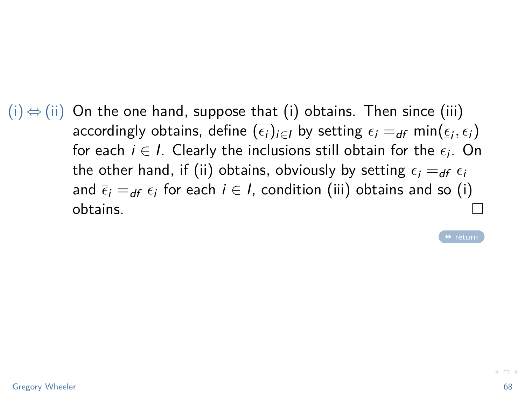$(i) \Leftrightarrow (ii)$  On the one hand, suppose that (i) obtains. Then since (iii) accordingly obtains, define  $(\epsilon_i)_{i\in I}$  by setting  $\epsilon_i =_{df} \min(\underline{\epsilon}_i, \overline{\epsilon}_i)$ for each  $i \in I$ . Clearly the inclusions still obtain for the  $\epsilon_i$ . On the other hand, if (ii) obtains, obviously by setting  $\epsilon_i =_{df} \epsilon_i$ and  $\bar{\epsilon}_i =_{df} \epsilon_i$  for each  $i \in I$ , condition (iii) obtains and so (i)  $\Box$ obtains.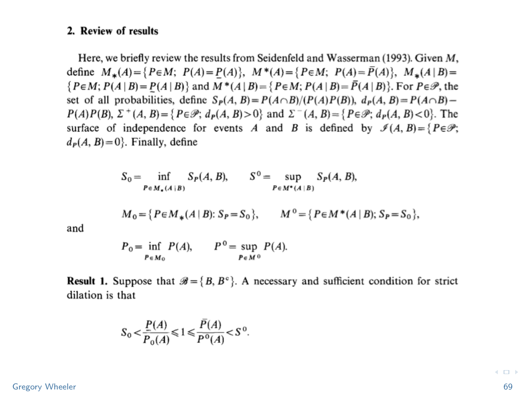#### <span id="page-68-0"></span>2. Review of results

Here, we briefly review the results from Seidenfeld and Wasserman (1993). Given M, define  $M_*(A) = \{P \in M; P(A) = P(A)\}, M^*(A) = \{P \in M; P(A) = \overline{P}(A)\}, M_*(A | B) =$  $\{P \in M; P(A | B) = P(A | B)\}\$ and  $M^*(A | B) = \{P \in M; P(A | B) = \overline{P}(A | B)\}\$ . For  $P \in \mathcal{P}$ , the set of all probabilities, define  $S_P(A, B) = P(A \cap B)/(P(A)P(B))$ ,  $d_P(A, B) = P(A \cap B) P(A)P(B)$ ,  $\Sigma^+(A, B) = \{P \in \mathcal{P}; d_P(A, B) > 0\}$  and  $\Sigma^-(A, B) = \{P \in \mathcal{P}; d_P(A, B) < 0\}$ . The surface of independence for events A and B is defined by  $\mathcal{I}(A, B) = \{P \in \mathcal{P};$  $d_P(A, B) = 0$ . Finally, define

$$
S_0 = \inf_{P \in M_{\bullet}(A \mid B)} S_P(A, B), \qquad S^0 = \sup_{P \in M^*(A \mid B)} S_P(A, B),
$$

$$
M_0 = \{ P \in M_*(A \mid B) : S_P = S_0 \}, \qquad M^0 = \{ P \in M^*(A \mid B) ; S_P = S_0 \},
$$

and

$$
P_0 = \inf_{P \in M_0} P(A), \qquad P^0 = \sup_{P \in M^0} P(A).
$$

**Result 1.** Suppose that  $\mathscr{B} = \{B, B^c\}$ . A necessary and sufficient condition for strict dilation is that

$$
S_0 < \frac{P(A)}{P_0(A)} \leq 1 \leq \frac{P(A)}{P^0(A)} < S^0.
$$